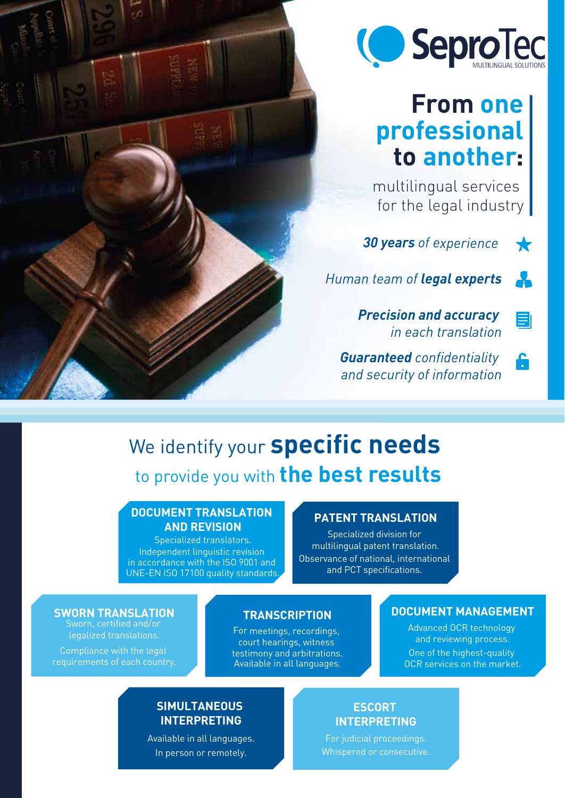

## **From one professional to another:**

multilingual services for the legal industry

K

<u> 2</u>

 $\blacksquare$ 

A

*30 years of experience* 

*Human team of legal experts*

*Precision and accuracy in each translation*

*Guaranteed confidentiality and security of information*

## We identify your **specific needs** to provide you with **the best results**

#### **DOCUMENT TRANSLATION AND REVISION**

Specialized translators. Independent linguistic revision in accordance with the ISO 9001 and UNE-EN ISO 17100 quality standards.

### **PATENT TRANSLATION**

Specialized division for multilingual patent translation. Observance of national, international and PCT specifications.

**SWORN TRANSLATION**

Sworn, certified and/or legalized translations.

Compliance with the legal requirements of each country.

### **TRANSCRIPTION**

For meetings, recordings, court hearings, witness testimony and arbitrations. Available in all languages.

#### **DOCUMENT MANAGEMENT**

Advanced OCR technology and reviewing process. One of the highest-quality OCR services on the market.

#### **SIMULTANEOUS INTERPRETING**

Available in all languages. In person or remotely.

#### **ESCORT INTERPRETING**

Whispered or consecutive.